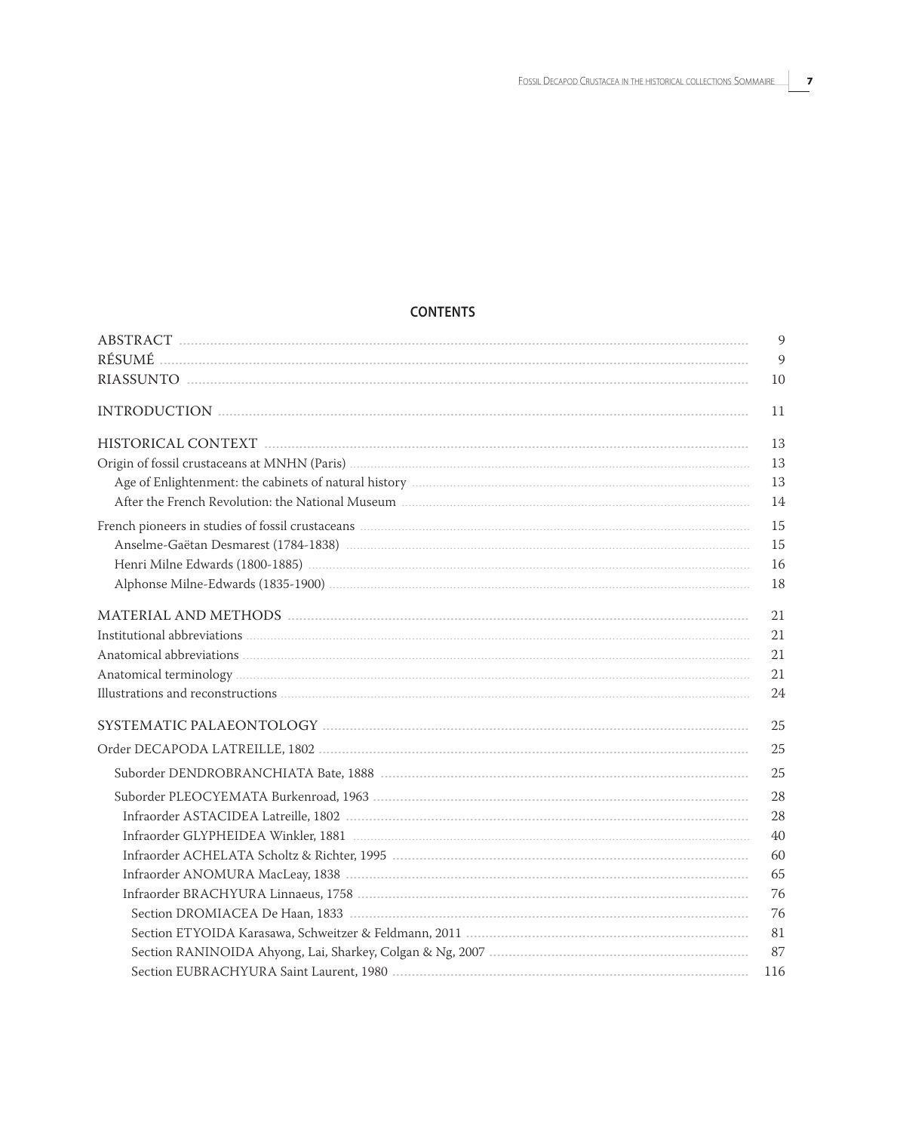## **CONTENTS**

| $\overline{9}$ |
|----------------|
| 9              |
| 10             |
| 11             |
| 13             |
| 13             |
| 13             |
| 14             |
| 15             |
| 15             |
| 16             |
| 18             |
| 21             |
| 21             |
| 21             |
| 21             |
| 24             |
| 25             |
| 25             |
| 25             |
| 28             |
| 28             |
| 40             |
| 60             |
| 65             |
| 76             |
| 76             |
| 81             |
| 87             |
| 116            |